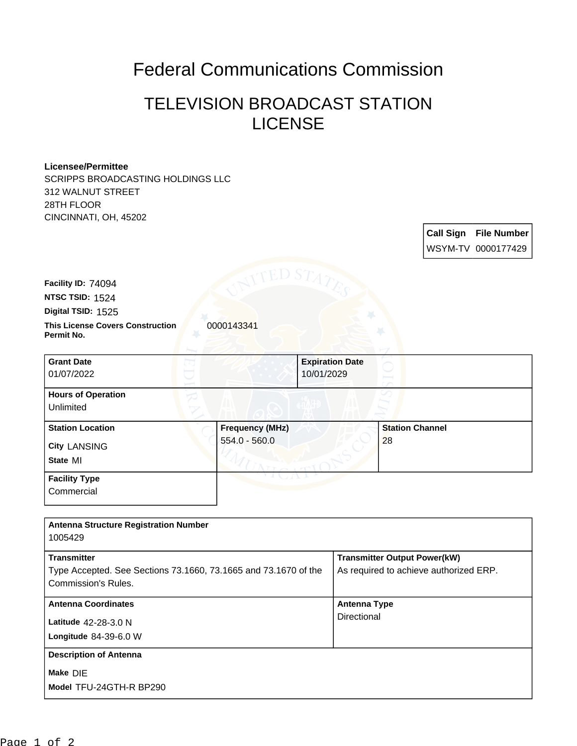## Federal Communications Commission

## TELEVISION BROADCAST STATION LICENSE

## **Licensee/Permittee**

SCRIPPS BROADCASTING HOLDINGS LLC 312 WALNUT STREET 28TH FLOOR CINCINNATI, OH, 45202

| <b>UINUINNATT, UH, 40202</b>                          |                        |                        |                        |                  |                    |
|-------------------------------------------------------|------------------------|------------------------|------------------------|------------------|--------------------|
|                                                       |                        |                        |                        | <b>Call Sign</b> | <b>File Number</b> |
|                                                       |                        |                        |                        |                  | WSYM-TV 0000177429 |
|                                                       |                        |                        |                        |                  |                    |
| Facility ID: 74094                                    |                        |                        |                        |                  |                    |
| NTSC TSID: 1524                                       |                        |                        |                        |                  |                    |
| Digital TSID: 1525                                    |                        |                        |                        |                  |                    |
| <b>This License Covers Construction</b><br>Permit No. | 0000143341             |                        |                        |                  |                    |
| <b>Grant Date</b>                                     |                        | <b>Expiration Date</b> |                        |                  |                    |
| 01/07/2022                                            |                        | 10/01/2029             |                        |                  |                    |
| <b>Hours of Operation</b>                             |                        |                        |                        |                  |                    |
| Unlimited                                             |                        |                        |                        |                  |                    |
| <b>Station Location</b>                               | <b>Frequency (MHz)</b> |                        | <b>Station Channel</b> |                  |                    |
| <b>City LANSING</b>                                   | 554.0 - 560.0          |                        | 28                     |                  |                    |
| State MI                                              |                        |                        |                        |                  |                    |
| <b>Facility Type</b>                                  |                        |                        |                        |                  |                    |
| Commercial                                            |                        |                        |                        |                  |                    |
|                                                       |                        |                        |                        |                  |                    |

| <b>Antenna Structure Registration Number</b><br>1005429                                                      |                                                                               |
|--------------------------------------------------------------------------------------------------------------|-------------------------------------------------------------------------------|
| <b>Transmitter</b><br>Type Accepted. See Sections 73.1660, 73.1665 and 73.1670 of the<br>Commission's Rules. | <b>Transmitter Output Power(kW)</b><br>As required to achieve authorized ERP. |
| <b>Antenna Coordinates</b>                                                                                   | <b>Antenna Type</b>                                                           |
| Latitude 42-28-3.0 N<br>Longitude $84-39-6.0$ W                                                              | Directional                                                                   |
| <b>Description of Antenna</b>                                                                                |                                                                               |
| Make DIE<br>Model TFU-24GTH-R BP290                                                                          |                                                                               |